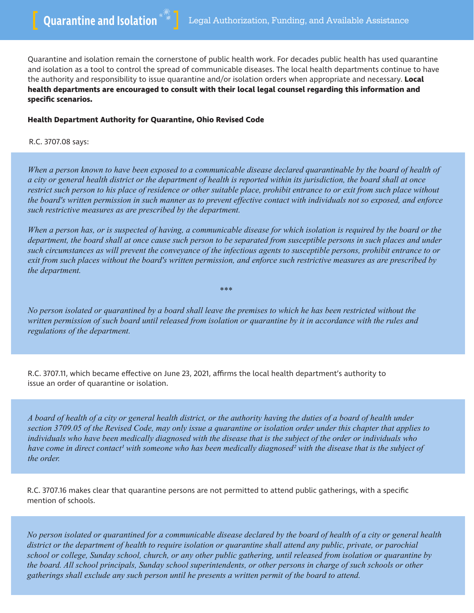Quarantine and isolation remain the cornerstone of public health work. For decades public health has used quarantine and isolation as a tool to control the spread of communicable diseases. The local health departments continue to have the authority and responsibility to issue quarantine and/or isolation orders when appropriate and necessary. **Local health departments are encouraged to consult with their local legal counsel regarding this information and specific scenarios.**

## **Health Department Authority for Quarantine, Ohio Revised Code**

R.C. 3707.08 says:

*When a person known to have been exposed to a communicable disease declared quarantinable by the board of health of a city or general health district or the department of health is reported within its jurisdiction, the board shall at once restrict such person to his place of residence or other suitable place, prohibit entrance to or exit from such place without the board's written permission in such manner as to prevent effective contact with individuals not so exposed, and enforce such restrictive measures as are prescribed by the department.*

*When a person has, or is suspected of having, a communicable disease for which isolation is required by the board or the department, the board shall at once cause such person to be separated from susceptible persons in such places and under such circumstances as will prevent the conveyance of the infectious agents to susceptible persons, prohibit entrance to or exit from such places without the board's written permission, and enforce such restrictive measures as are prescribed by the department.*

*No person isolated or quarantined by a board shall leave the premises to which he has been restricted without the written permission of such board until released from isolation or quarantine by it in accordance with the rules and regulations of the department.*

*\*\*\**

R.C. 3707.11, which became effective on June 23, 2021, affirms the local health department's authority to issue an order of quarantine or isolation.

*A board of health of a city or general health district, or the authority having the duties of a board of health under section 3709.05 of the Revised Code, may only issue a quarantine or isolation order under this chapter that applies to individuals who have been medically diagnosed with the disease that is the subject of the order or individuals who have come in direct contact1 with someone who has been medically diagnosed2 with the disease that is the subject of the order.*

R.C. 3707.16 makes clear that quarantine persons are not permitted to attend public gatherings, with a specific mention of schools.

*No person isolated or quarantined for a communicable disease declared by the board of health of a city or general health district or the department of health to require isolation or quarantine shall attend any public, private, or parochial school or college, Sunday school, church, or any other public gathering, until released from isolation or quarantine by the board. All school principals, Sunday school superintendents, or other persons in charge of such schools or other gatherings shall exclude any such person until he presents a written permit of the board to attend.*